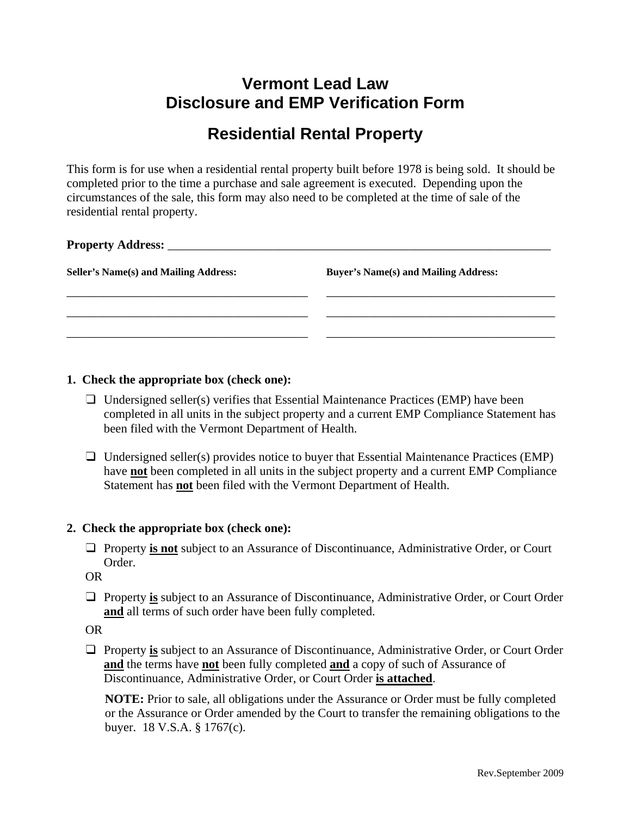## **Vermont Lead Law Disclosure and EMP Verification Form**

# **Residential Rental Property**

This form is for use when a residential rental property built before 1978 is being sold. It should be completed prior to the time a purchase and sale agreement is executed. Depending upon the circumstances of the sale, this form may also need to be completed at the time of sale of the residential rental property.

| <b>Seller's Name(s) and Mailing Address:</b> | <b>Buyer's Name(s) and Mailing Address:</b> |  |
|----------------------------------------------|---------------------------------------------|--|
|                                              |                                             |  |
|                                              |                                             |  |
|                                              |                                             |  |

### **1. Check the appropriate box (check one):**

- $\Box$  Undersigned seller(s) verifies that Essential Maintenance Practices (EMP) have been completed in all units in the subject property and a current EMP Compliance Statement has been filed with the Vermont Department of Health.
- $\Box$  Undersigned seller(s) provides notice to buyer that Essential Maintenance Practices (EMP) have **not** been completed in all units in the subject property and a current EMP Compliance Statement has **not** been filed with the Vermont Department of Health.

### **2. Check the appropriate box (check one):**

 Property **is not** subject to an Assurance of Discontinuance, Administrative Order, or Court Order.

OR

 Property **is** subject to an Assurance of Discontinuance, Administrative Order, or Court Order **and** all terms of such order have been fully completed.

OR

□ Property is subject to an Assurance of Discontinuance, Administrative Order, or Court Order **and** the terms have **not** been fully completed **and** a copy of such of Assurance of Discontinuance, Administrative Order, or Court Order **is attached**.

**NOTE:** Prior to sale, all obligations under the Assurance or Order must be fully completed or the Assurance or Order amended by the Court to transfer the remaining obligations to the buyer. 18 V.S.A. § 1767(c).